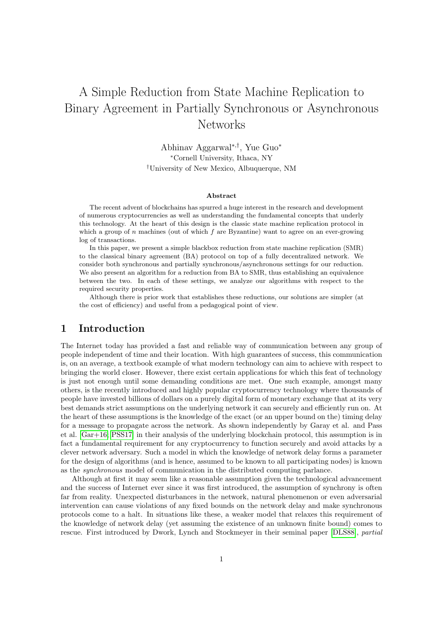# A Simple Reduction from State Machine Replication to Binary Agreement in Partially Synchronous or Asynchronous Networks

Abhinav Aggarwal<sup>∗</sup>,† , Yue Guo<sup>∗</sup> <sup>∗</sup>Cornell University, Ithaca, NY †University of New Mexico, Albuquerque, NM

#### Abstract

The recent advent of blockchains has spurred a huge interest in the research and development of numerous cryptocurrencies as well as understanding the fundamental concepts that underly this technology. At the heart of this design is the classic state machine replication protocol in which a group of  $n$  machines (out of which  $f$  are Byzantine) want to agree on an ever-growing log of transactions.

In this paper, we present a simple blackbox reduction from state machine replication (SMR) to the classical binary agreement (BA) protocol on top of a fully decentralized network. We consider both synchronous and partially synchronous/asynchronous settings for our reduction. We also present an algorithm for a reduction from BA to SMR, thus establishing an equivalence between the two. In each of these settings, we analyze our algorithms with respect to the required security properties.

Although there is prior work that establishes these reductions, our solutions are simpler (at the cost of efficiency) and useful from a pedagogical point of view.

# 1 Introduction

The Internet today has provided a fast and reliable way of communication between any group of people independent of time and their location. With high guarantees of success, this communication is, on an average, a textbook example of what modern technology can aim to achieve with respect to bringing the world closer. However, there exist certain applications for which this feat of technology is just not enough until some demanding conditions are met. One such example, amongst many others, is the recently introduced and highly popular cryptocurrency technology where thousands of people have invested billions of dollars on a purely digital form of monetary exchange that at its very best demands strict assumptions on the underlying network it can securely and efficiently run on. At the heart of these assumptions is the knowledge of the exact (or an upper bound on the) timing delay for a message to propagate across the network. As shown independently by Garay et al. and Pass et al. [\[Gar+16;](#page-11-0) [PSS17\]](#page-11-1) in their analysis of the underlying blockchain protocol, this assumption is in fact a fundamental requirement for any cryptocurrency to function securely and avoid attacks by a clever network adversary. Such a model in which the knowledge of network delay forms a parameter for the design of algorithms (and is hence, assumed to be known to all participating nodes) is known as the synchronous model of communication in the distributed computing parlance.

Although at first it may seem like a reasonable assumption given the technological advancement and the success of Internet ever since it was first introduced, the assumption of synchrony is often far from reality. Unexpected disturbances in the network, natural phenomenon or even adversarial intervention can cause violations of any fixed bounds on the network delay and make synchronous protocols come to a halt. In situations like these, a weaker model that relaxes this requirement of the knowledge of network delay (yet assuming the existence of an unknown finite bound) comes to rescue. First introduced by Dwork, Lynch and Stockmeyer in their seminal paper [\[DLS88\]](#page-11-2), partial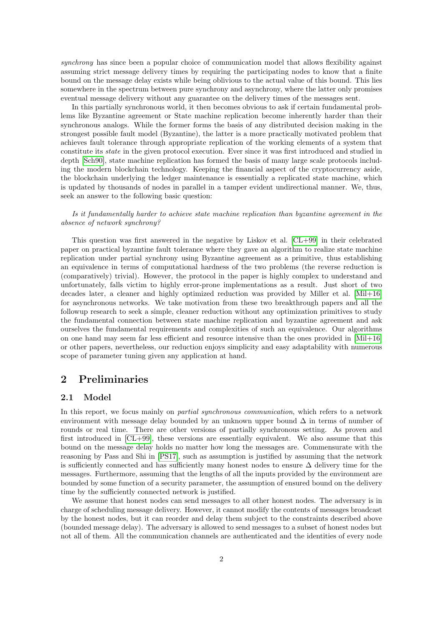synchrony has since been a popular choice of communication model that allows flexibility against assuming strict message delivery times by requiring the participating nodes to know that a finite bound on the message delay exists while being oblivious to the actual value of this bound. This lies somewhere in the spectrum between pure synchrony and asynchrony, where the latter only promises eventual message delivery without any guarantee on the delivery times of the messages sent.

In this partially synchronous world, it then becomes obvious to ask if certain fundamental problems like Byzantine agreement or State machine replication become inherently harder than their synchronous analogs. While the former forms the basis of any distributed decision making in the strongest possible fault model (Byzantine), the latter is a more practically motivated problem that achieves fault tolerance through appropriate replication of the working elements of a system that constitute its state in the given protocol execution. Ever since it was first introduced and studied in depth [\[Sch90\]](#page-11-3), state machine replication has formed the basis of many large scale protocols including the modern blockchain technology. Keeping the financial aspect of the cryptocurrency aside, the blockchain underlying the ledger maintenance is essentially a replicated state machine, which is updated by thousands of nodes in parallel in a tamper evident undirectional manner. We, thus, seek an answer to the following basic question:

Is it fundamentally harder to achieve state machine replication than byzantine agreement in the absence of network synchrony?

This question was first answered in the negative by Liskov et al. [\[CL+99\]](#page-11-4) in their celebrated paper on practical byzantine fault tolerance where they gave an algorithm to realize state machine replication under partial synchrony using Byzantine agreement as a primitive, thus establishing an equivalence in terms of computational hardness of the two problems (the reverse reduction is (comparatively) trivial). However, the protocol in the paper is highly complex to understand and unfortunately, falls victim to highly error-prone implementations as a result. Just short of two decades later, a cleaner and highly optimized reduction was provided by Miller et al. [\[Mil+16\]](#page-11-5) for asynchronous networks. We take motivation from these two breakthrough papers and all the followup research to seek a simple, cleaner reduction without any optimization primitives to study the fundamental connection between state machine replication and byzantine agreement and ask ourselves the fundamental requirements and complexities of such an equivalence. Our algorithms on one hand may seem far less efficient and resource intensive than the ones provided in [\[Mil+16\]](#page-11-5) or other papers, nevertheless, our reduction enjoys simplicity and easy adaptability with numerous scope of parameter tuning given any application at hand.

# 2 Preliminaries

#### 2.1 Model

In this report, we focus mainly on *partial synchronous communication*, which refers to a network environment with message delay bounded by an unknown upper bound  $\Delta$  in terms of number of rounds or real time. There are other versions of partially synchronous setting. As proven and first introduced in [\[CL+99\]](#page-11-4), these versions are essentially equivalent. We also assume that this bound on the message delay holds no matter how long the messages are. Commensurate with the reasoning by Pass and Shi in [\[PS17\]](#page-11-6), such as assumption is justified by assuming that the network is sufficiently connected and has sufficiently many honest nodes to ensure ∆ delivery time for the messages. Furthermore, assuming that the lengths of all the inputs provided by the environment are bounded by some function of a security parameter, the assumption of ensured bound on the delivery time by the sufficiently connected network is justified.

We assume that honest nodes can send messages to all other honest nodes. The adversary is in charge of scheduling message delivery. However, it cannot modify the contents of messages broadcast by the honest nodes, but it can reorder and delay them subject to the constraints described above (bounded message delay). The adversary is allowed to send messages to a subset of honest nodes but not all of them. All the communication channels are authenticated and the identities of every node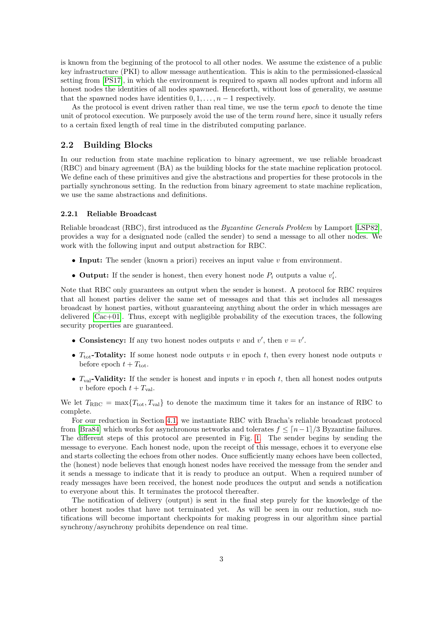is known from the beginning of the protocol to all other nodes. We assume the existence of a public key infrastructure (PKI) to allow message authentication. This is akin to the permissioned-classical setting from [\[PS17\]](#page-11-6), in which the environment is required to spawn all nodes upfront and inform all honest nodes the identities of all nodes spawned. Henceforth, without loss of generality, we assume that the spawned nodes have identities  $0, 1, \ldots, n-1$  respectively.

As the protocol is event driven rather than real time, we use the term *epoch* to denote the time unit of protocol execution. We purposely avoid the use of the term *round* here, since it usually refers to a certain fixed length of real time in the distributed computing parlance.

### 2.2 Building Blocks

In our reduction from state machine replication to binary agreement, we use reliable broadcast (RBC) and binary agreement (BA) as the building blocks for the state machine replication protocol. We define each of these primitives and give the abstractions and properties for these protocols in the partially synchronous setting. In the reduction from binary agreement to state machine replication, we use the same abstractions and definitions.

#### 2.2.1 Reliable Broadcast

Reliable broadcast (RBC), first introduced as the Byzantine Generals Problem by Lamport [\[LSP82\]](#page-11-7), provides a way for a designated node (called the sender) to send a message to all other nodes. We work with the following input and output abstraction for RBC.

- Input: The sender (known a priori) receives an input value  $v$  from environment.
- Output: If the sender is honest, then every honest node  $P_i$  outputs a value  $v'_i$ .

Note that RBC only guarantees an output when the sender is honest. A protocol for RBC requires that all honest parties deliver the same set of messages and that this set includes all messages broadcast by honest parties, without guaranteeing anything about the order in which messages are delivered [\[Cac+01\]](#page-11-8). Thus, except with negligible probability of the execution traces, the following security properties are guaranteed.

- Consistency: If any two honest nodes outputs v and v', then  $v = v'$ .
- $T_{\text{tot}}$ -Totality: If some honest node outputs v in epoch t, then every honest node outputs v before epoch  $t + T_{\text{tot}}$ .
- $T_{val}$ -Validity: If the sender is honest and inputs v in epoch t, then all honest nodes outputs v before epoch  $t + T_{val}$ .

We let  $T_{RBC} = \max\{T_{\text{tot}}, T_{\text{val}}\}$  to denote the maximum time it takes for an instance of RBC to complete.

For our reduction in Section [4.1,](#page-6-0) we instantiate RBC with Bracha's reliable broadcast protocol from [\[Bra84\]](#page-10-0) which works for asynchronous networks and tolerates  $f \n\leq \lfloor n-1 \rfloor/3$  Byzantine failures. The different steps of this protocol are presented in Fig. [1.](#page-3-0) The sender begins by sending the message to everyone. Each honest node, upon the receipt of this message, echoes it to everyone else and starts collecting the echoes from other nodes. Once sufficiently many echoes have been collected, the (honest) node believes that enough honest nodes have received the message from the sender and it sends a message to indicate that it is ready to produce an output. When a required number of ready messages have been received, the honest node produces the output and sends a notification to everyone about this. It terminates the protocol thereafter.

The notification of delivery (output) is sent in the final step purely for the knowledge of the other honest nodes that have not terminated yet. As will be seen in our reduction, such notifications will become important checkpoints for making progress in our algorithm since partial synchrony/asynchrony prohibits dependence on real time.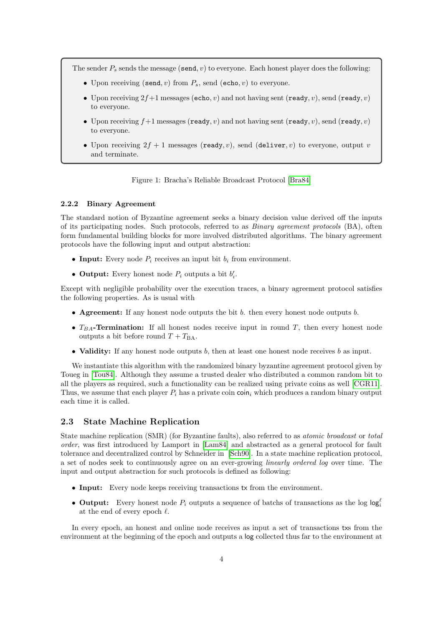The sender  $P_s$  sends the message (send, v) to everyone. Each honest player does the following:

- Upon receiving (send, v) from  $P_s$ , send (echo, v) to everyone.
- Upon receiving  $2f+1$  messages (echo, v) and not having sent (ready, v), send (ready, v) to everyone.
- Upon receiving  $f+1$  messages (ready, v) and not having sent (ready, v), send (ready, v) to everyone.
- <span id="page-3-0"></span>• Upon receiving  $2f + 1$  messages (ready, v), send (deliver, v) to everyone, output v and terminate.

Figure 1: Bracha's Reliable Broadcast Protocol [\[Bra84\]](#page-10-0)

#### 2.2.2 Binary Agreement

The standard notion of Byzantine agreement seeks a binary decision value derived off the inputs of its participating nodes. Such protocols, referred to as Binary agreement protocols (BA), often form fundamental building blocks for more involved distributed algorithms. The binary agreement protocols have the following input and output abstraction:

- Input: Every node  $P_i$  receives an input bit  $b_i$  from environment.
- Output: Every honest node  $P_i$  outputs a bit  $b'_i$ .

Except with negligible probability over the execution traces, a binary agreement protocol satisfies the following properties. As is usual with

- Agreement: If any honest node outputs the bit  $b$ . then every honest node outputs  $b$ .
- $T_{BA}$ -Termination: If all honest nodes receive input in round T, then every honest node outputs a bit before round  $T + T_{BA}$ .
- Validity: If any honest node outputs  $b$ , then at least one honest node receives  $b$  as input.

We instantiate this algorithm with the randomized binary byzantine agreement protocol given by Toueg in [\[Tou84\]](#page-11-9). Although they assume a trusted dealer who distributed a common random bit to all the players as required, such a functionality can be realized using private coins as well [\[CGR11\]](#page-11-10). Thus, we assume that each player  $P_i$  has a private coin coin<sub>i</sub> which produces a random binary output each time it is called.

### 2.3 State Machine Replication

State machine replication (SMR) (for Byzantine faults), also referred to as atomic broadcast or total order, was first introduced by Lamport in [\[Lam84\]](#page-11-11) and abstracted as a general protocol for fault tolerance and decentralized control by Schneider in [\[Sch90\]](#page-11-3). In a state machine replication protocol, a set of nodes seek to continuously agree on an ever-growing linearly ordered log over time. The input and output abstraction for such protocols is defined as following:

- Input: Every node keeps receiving transactions tx from the environment.
- Output: Every honest node  $P_i$  outputs a sequence of batchs of transactions as the log  $log_i^{\ell}$ at the end of every epoch  $\ell$ .

In every epoch, an honest and online node receives as input a set of transactions txs from the environment at the beginning of the epoch and outputs a log collected thus far to the environment at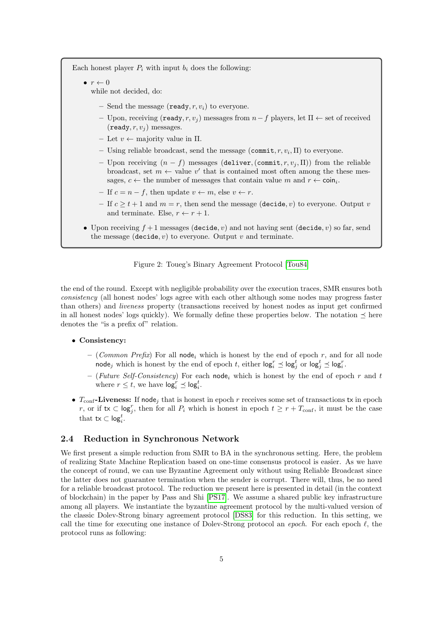Each honest player  $P_i$  with input  $b_i$  does the following:

- $\bullet r \leftarrow 0$ while not decided, do:
	- Send the message (ready,  $r, v_i$ ) to everyone.
	- Upon, receiving (ready, r, v<sup>j</sup> ) messages from n−f players, let Π ← set of received  $(\text{ready}, r, v_i)$  messages.
	- Let  $v \leftarrow$  majority value in  $\Pi$ .
	- Using reliable broadcast, send the message  $(\text{commit}, r, v_i, \Pi)$  to everyone.
	- Upon receiving  $(n f)$  messages (deliver, (commit,  $r, v_j, \Pi$ )) from the reliable broadcast, set  $m \leftarrow$  value v' that is contained most often among the these messages,  $c \leftarrow$  the number of messages that contain value m and  $r \leftarrow \text{coin}_i$ .
	- If  $c = n f$ , then update  $v \leftarrow m$ , else  $v \leftarrow r$ .
	- If  $c > t + 1$  and  $m = r$ , then send the message (decide, v) to everyone. Output v and terminate. Else,  $r \leftarrow r + 1$ .
- Upon receiving  $f + 1$  messages (decide, v) and not having sent (decide, v) so far, send the message (decide,  $v$ ) to everyone. Output  $v$  and terminate.



the end of the round. Except with negligible probability over the execution traces, SMR ensures both consistency (all honest nodes' logs agree with each other although some nodes may progress faster than others) and liveness property (transactions received by honest nodes as input get confirmed in all honest nodes' logs quickly). We formally define these properties below. The notation  $\prec$  here denotes the "is a prefix of" relation.

### • Consistency:

- (Common Prefix) For all node; which is honest by the end of epoch r, and for all node node<sub>j</sub> which is honest by the end of epoch t, either  $log_i^r \preceq log_j^t$  or  $log_j^t \preceq log_i^r$ .
- (Future Self-Consistency) For each node<sub>i</sub> which is honest by the end of epoch r and t where  $r \leq t$ , we have  $\log_i^r \leq \log_i^t$ .
- $T_{\text{conf}}$ -Liveness: If node<sub>j</sub> that is honest in epoch r receives some set of transactions tx in epoch r, or if  $tx \text{ }\subset \text{log}^r_j$ , then for all  $P_i$  which is honest in epoch  $t \geq r + T_{\text{conf}}$ , it must be the case that  $\textsf{tx} \subset \textsf{log}^t_i$ .

### 2.4 Reduction in Synchronous Network

We first present a simple reduction from SMR to BA in the synchronous setting. Here, the problem of realizing State Machine Replication based on one-time consensus protocol is easier. As we have the concept of round, we can use Byzantine Agreement only without using Reliable Broadcast since the latter does not guarantee termination when the sender is corrupt. There will, thus, be no need for a reliable broadcast protocol. The reduction we present here is presented in detail (in the context of blockchain) in the paper by Pass and Shi [\[PS17\]](#page-11-6). We assume a shared public key infrastructure among all players. We instantiate the byzantine agreement protocol by the multi-valued version of the classic Dolev-Strong binary agreement protocol [\[DS83\]](#page-11-12) for this reduction. In this setting, we call the time for executing one instance of Dolev-Strong protocol an epoch. For each epoch  $\ell$ , the protocol runs as following: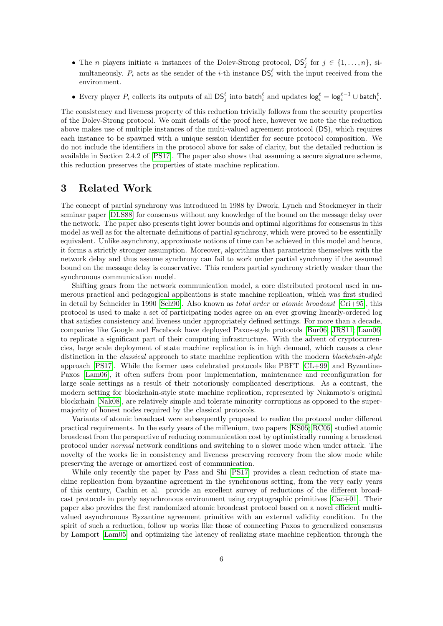- The *n* players initiate *n* instances of the Dolev-Strong protocol,  $DS_j^{\ell}$  for  $j \in \{1, ..., n\}$ , simultaneously.  $P_i$  acts as the sender of the *i*-th instance  $DS_i^{\ell}$  with the input received from the environment.
- Every player  $P_i$  collects its outputs of all  $DS_j^{\ell}$  into batch<sup> $\ell$ </sup> and updates  $\log_i^{\ell} = \log_i^{\ell-1} \cup$  batch $i$ .

The consistency and liveness property of this reduction trivially follows from the security properties of the Dolev-Strong protocol. We omit details of the proof here, however we note the the reduction above makes use of multiple instances of the multi-valued agreement protocol (DS), which requires each instance to be spawned with a unique session identifier for secure protocol composition. We do not include the identifiers in the protocol above for sake of clarity, but the detailed reduction is available in Section 2.4.2 of [\[PS17\]](#page-11-6). The paper also shows that assuming a secure signature scheme, this reduction preserves the properties of state machine replication.

# 3 Related Work

The concept of partial synchrony was introduced in 1988 by Dwork, Lynch and Stockmeyer in their seminar paper [\[DLS88\]](#page-11-2) for consensus without any knowledge of the bound on the message delay over the network. The paper also presents tight lower bounds and optimal algorithms for consensus in this model as well as for the alternate definitions of partial synchrony, which were proved to be essentially equivalent. Unlike asynchrony, approximate notions of time can be achieved in this model and hence, it forms a strictly stronger assumption. Moreover, algorithms that parametrize themselves with the network delay and thus assume synchrony can fail to work under partial synchrony if the assumed bound on the message delay is conservative. This renders partial synchrony strictly weaker than the synchronous communication model.

Shifting gears from the network communication model, a core distributed protocol used in numerous practical and pedagogical applications is state machine replication, which was first studied in detail by Schneider in 1990 [\[Sch90\]](#page-11-3). Also known as total order or atomic broadcast [\[Cri+95\]](#page-11-13), this protocol is used to make a set of participating nodes agree on an ever growing linearly-ordered log that satisfies consistency and liveness under appropriately defined settings. For more than a decade, companies like Google and Facebook have deployed Paxos-style protocols [\[Bur06;](#page-10-1) [JRS11;](#page-11-14) [Lam06\]](#page-11-15) to replicate a significant part of their computing infrastructure. With the advent of cryptocurrencies, large scale deployment of state machine replication is in high demand, which causes a clear distinction in the *classical* approach to state machine replication with the modern *blockchain-style* approach [\[PS17\]](#page-11-6). While the former uses celebrated protocols like PBFT [\[CL+99\]](#page-11-4) and Byzantine-Paxos [\[Lam06\]](#page-11-15), it often suffers from poor implementation, maintenance and reconfiguration for large scale settings as a result of their notoriously complicated descriptions. As a contrast, the modern setting for blockchain-style state machine replication, represented by Nakamoto's original blockchain [\[Nak08\]](#page-11-16), are relatively simple and tolerate minority corruptions as opposed to the supermajority of honest nodes required by the classical protocols.

Variants of atomic broadcast were subsequently proposed to realize the protocol under different practical requirements. In the early years of the millenium, two papers [\[KS05;](#page-11-17) [RC05\]](#page-11-18) studied atomic broadcast from the perspective of reducing communication cost by optimistically running a broadcast protocol under normal network conditions and switching to a slower mode when under attack. The novelty of the works lie in consistency and liveness preserving recovery from the slow mode while preserving the average or amortized cost of communication.

While only recently the paper by Pass and Shi [\[PS17\]](#page-11-6) provides a clean reduction of state machine replication from byzantine agreement in the synchronous setting, from the very early years of this century, Cachin et al. provide an excellent survey of reductions of the different broadcast protocols in purely asynchronous environment using cryptographic primitives [\[Cac+01\]](#page-11-8). Their paper also provides the first randomized atomic broadcast protocol based on a novel efficient multivalued asynchronous Byzantine agreement primitive with an external validity condition. In the spirit of such a reduction, follow up works like those of connecting Paxos to generalized consensus by Lamport [\[Lam05\]](#page-11-19) and optimizing the latency of realizing state machine replication through the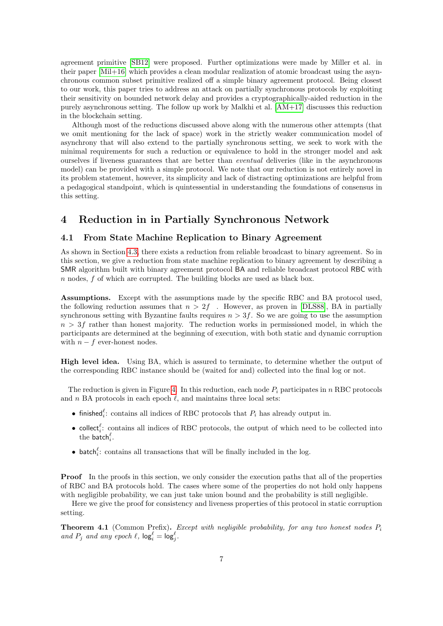agreement primitive [\[SB12\]](#page-11-20) were proposed. Further optimizations were made by Miller et al. in their paper [\[Mil+16\]](#page-11-5) which provides a clean modular realization of atomic broadcast using the asynchronous common subset primitive realized off a simple binary agreement protocol. Being closest to our work, this paper tries to address an attack on partially synchronous protocols by exploiting their sensitivity on bounded network delay and provides a cryptographically-aided reduction in the purely asynchronous setting. The follow up work by Malkhi et al. [\[AM+17\]](#page-10-2) discusses this reduction in the blockchain setting.

Although most of the reductions discussed above along with the numerous other attempts (that we omit mentioning for the lack of space) work in the strictly weaker communication model of asynchrony that will also extend to the partially synchronous setting, we seek to work with the minimal requirements for such a reduction or equivalence to hold in the stronger model and ask ourselves if liveness guarantees that are better than eventual deliveries (like in the asynchronous model) can be provided with a simple protocol. We note that our reduction is not entirely novel in its problem statement, however, its simplicity and lack of distracting optimizations are helpful from a pedagogical standpoint, which is quintessential in understanding the foundations of consensus in this setting.

# 4 Reduction in in Partially Synchronous Network

### <span id="page-6-0"></span>4.1 From State Machine Replication to Binary Agreement

As shown in Section [4.3,](#page-10-3) there exists a reduction from reliable broadcast to binary agreement. So in this section, we give a reduction from state machine replication to binary agreement by describing a SMR algorithm built with binary agreement protocol BA and reliable broadcast protocol RBC with n nodes, f of which are corrupted. The building blocks are used as black box.

Assumptions. Except with the assumptions made by the specific RBC and BA protocol used, the following reduction assumes that  $n > 2f$ . However, as proven in [\[DLS88\]](#page-11-2), BA in partially synchronous setting with Byzantine faults requires  $n > 3f$ . So we are going to use the assumption  $n > 3f$  rather than honest majority. The reduction works in permissioned model, in which the participants are determined at the beginning of execution, with both static and dynamic corruption with  $n - f$  ever-honest nodes.

High level idea. Using BA, which is assured to terminate, to determine whether the output of the corresponding RBC instance should be (waited for and) collected into the final log or not.

The reduction is given in Figure [4.](#page-8-0) In this reduction, each node  $P_i$  participates in n RBC protocols and n BA protocols in each epoch  $\ell$ , and maintains three local sets:

- finished<sup> $\ell$ </sup>: contains all indices of RBC protocols that  $P_i$  has already output in.
- collect<sup> $\ell$ </sup>: contains all indices of RBC protocols, the output of which need to be collected into the batch $_i^\ell$ .
- batch<sup> $\ell$ </sup>: contains all transactions that will be finally included in the log.

**Proof** In the proofs in this section, we only consider the execution paths that all of the properties of RBC and BA protocols hold. The cases where some of the properties do not hold only happens with negligible probability, we can just take union bound and the probability is still negligible.

Here we give the proof for consistency and liveness properties of this protocol in static corruption setting.

**Theorem 4.1** (Common Prefix). Except with negligible probability, for any two honest nodes  $P_i$ and  $P_j$  and any epoch  $\ell$ ,  $\log_i^{\ell} = \log_j^{\ell}$ .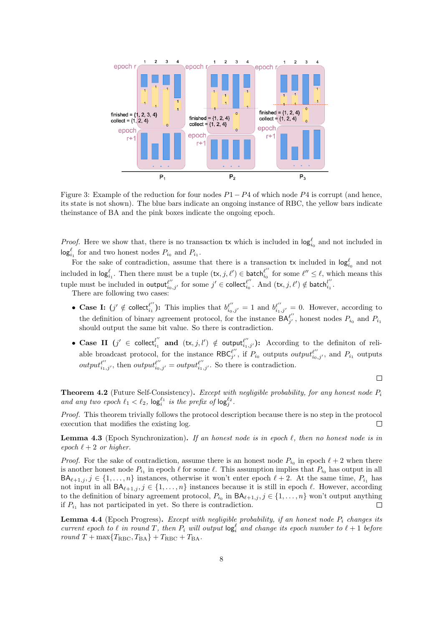

Figure 3: Example of the reduction for four nodes  $P1 - P4$  of which node  $P4$  is corrupt (and hence, its state is not shown). The blue bars indicate an ongoing instance of RBC, the yellow bars indicate theinstance of BA and the pink boxes indicate the ongoing epoch.

*Proof.* Here we show that, there is no transaction tx which is included in  $\log_{i_0}^{\ell}$  and not included in  $log_{i_1}^{\ell}$  for and two honest nodes  $P_{i_0}$  and  $P_{i_1}$ .

For the sake of contradiction, assume that there is a transaction tx included in  $log_{i_0}^{\ell}$  and not included in  $\textsf{log}^\ell_{i_1}$ . Then there must be a tuple  $(\textsf{tx}, j, \ell') \in \textsf{batch}^{\ell''}_{i_0}$  $\ell''_{i_0}$  for some  $\ell'' \leq \ell$ , which means this tuple must be included in  $\mathsf{output}_{i_0,j'}^{\ell''}$  for some  $j' \in \mathsf{collect}_{i_0}^{\ell''}$  $\frac{\ell^{\prime\prime}}{i_0}$ . And  $(\textsf{tx},j,\ell^{\prime})\notin \textsf{batch}_{i_1}^{l^{\prime\prime}}$  $\frac{i}{i_1}$ .

There are following two cases:

- Case I:  $(j' \notin \text{collect}_{i_1}^{\ell''})$  $\ell''_{i_1}$ ): This implies that  $b_{i_0,j'}^{\ell''}=1$  and  $b_{i_1,j'}^{\ell''}=0$ . However, according to the definition of binary agreement protocol, for the instance  $\mathsf{BA}_{j}^{\ell''}$  $\int_{j'}^{\ell}$ , honest nodes  $P_{i_0}$  and  $P_{i_1}$ should output the same bit value. So there is contradiction.
- Case II  $(j' \in \text{collect}_{i_1}^{l''})$  $\mathbf{u}''_{i_1}$  and  $(\mathsf{tx}, j, l') \notin \mathsf{output}_{i_1,j'}^{\ell''}$ : According to the definiton of reliable broadcast protocol, for the instance RBC $_{i'}^{\ell''}$  $\ell''$ , if  $P_{i_0}$  outputs *output*<sup> $\ell''_{i_0,j'}$ </sup>, and  $P_{i_1}$  outputs  $output_{i_1,j'}^{\ell''}$ , then  $output_{i_0,j'}^{\ell''} = output_{i_1,j'}^{\ell''}$ . So there is contradiction.

 $\Box$ 

**Theorem 4.2** (Future Self-Consistency). Except with negligible probability, for any honest node  $P_i$ and any two epoch  $\ell_1 < \ell_2$ ,  $\log_i^{\ell_1}$  is the prefix of  $\log_i^{\ell_2}$ .

Proof. This theorem trivially follows the protocol description because there is no step in the protocol execution that modifies the existing log.  $\Box$ 

**Lemma 4.3** (Epoch Synchronization). If an honest node is in epoch  $\ell$ , then no honest node is in epoch  $\ell + 2$  or higher.

*Proof.* For the sake of contradiction, assume there is an honest node  $P_{i_0}$  in epoch  $\ell + 2$  when there is another honest node  $P_{i_1}$  in epoch  $\ell$  for some  $\ell$ . This assumption implies that  $P_{i_0}$  has output in all  $BA_{\ell+1,j}, j \in \{1, \ldots, n\}$  instances, otherwise it won't enter epoch  $\ell + 2$ . At the same time,  $P_{i_1}$  has not input in all  $BA_{\ell+1,j}$  ,  $j \in \{1, \ldots, n\}$  instances because it is still in epoch  $\ell$ . However, according to the definition of binary agreement protocol,  $P_{i_0}$  in  $\mathsf{BA}_{\ell+1,j}$ ,  $j \in \{1, \ldots, n\}$  won't output anything if  $P_{i_1}$  has not participated in yet. So there is contradiction.  $\Box$ 

<span id="page-7-0"></span>**Lemma 4.4** (Epoch Progress). Except with negligible probability, if an honest node  $P_i$  changes its current epoch to  $\ell$  in round T, then  $P_i$  will output  $\log_i^{\ell}$  and change its epoch number to  $\ell + 1$  before round  $T + \max\{T_{RBC}, T_{BA}\} + T_{RBC} + T_{BA}$ .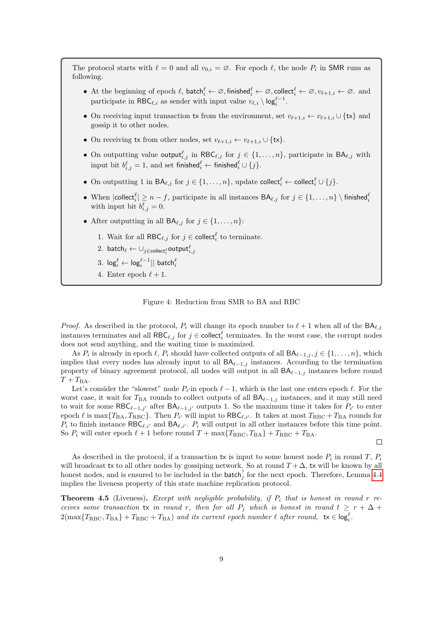The protocol starts with  $\ell = 0$  and all  $v_{0,i} = \emptyset$ . For epoch  $\ell$ , the node  $P_i$  in SMR runs as following.

- At the beginning of epoch  $\ell$ , batch $\ell_i \leftarrow \emptyset$ , finished $\ell_i \leftarrow \emptyset$ , collect $\ell_i \leftarrow \emptyset$ ,  $v_{\ell+1,i} \leftarrow \emptyset$ . and participate in RBC<sub> $\ell, i$ </sub> as sender with input value  $v_{\ell,i} \setminus \log_i^{\ell-1}$ .
- On receiving input transaction tx from the environment, set  $v_{\ell+1,i} \leftarrow v_{\ell+1,i} \cup {\{\mathsf{tx}\}}$  and gossip it to other nodes.
- On receiving tx from other nodes, set  $v_{\ell+1,i} \leftarrow v_{\ell+1,i} \cup \{tx\}.$
- On outputting value output ${}_{i,j}^{\ell}$  in RBC<sub> $\ell, j$ </sub> for  $j \in \{1, \ldots, n\}$ , participate in BA $_{\ell, j}$  with input bit  $b_{i,j}^\ell = 1,$  and set finished $\mathcal{C}_i^\ell \leftarrow \mathsf{finished}_i^\ell \cup \{j\}.$
- On outputting 1 in  $BA_{\ell,j}$  for  $j \in \{1, ..., n\}$ , update collect<sup> $\ell$ </sup>  $\leftarrow$  collect $\ell$ <sup> $\ell$ </sup>  $\cup$   $\{j\}$ .
- When  $|\text{collect}_i^{\ell}| \ge n f$ , participate in all instances  $\mathsf{BA}_{\ell,j}$  for  $j \in \{1, \ldots, n\} \setminus \text{finite}_{i}$ with input bit  $b_{i,j}^{\ell} = 0$ .
- After outputting in all  $BA_{\ell,j}$  for  $j \in \{1, \ldots, n\}$ :
	- 1. Wait for all  $RBC_{\ell,j}$  for  $j \in \text{collect}_i^{\ell}$  to terminate.
	- $2.$   $\mathsf{batch}_\ell \leftarrow \cup_{j \in \mathsf{collect}^\ell_i} \mathsf{output}^\ell_{i,j}$
	- $3. \ \log_i^\ell \leftarrow \log_i^{\ell-1} ||\ \mathsf{batch}^\ell_i$
	- 4. Enter epoch  $\ell + 1$ .

#### Figure 4: Reduction from SMR to BA and RBC

<span id="page-8-0"></span>*Proof.* As described in the protocol,  $P_i$  will change its epoch number to  $\ell + 1$  when all of the  $\mathsf{BA}_{\ell,i}$ instances terminates and all  $RBC_{\ell,j}$  for  $j \in \text{collect}_{i}^{\ell}$  terminates. In the worst case, the corrupt nodes does not send anything, and the waiting time is maximized.

As  $P_i$  is already in epoch  $\ell$ ,  $P_i$  should have collected outputs of all  $BA_{\ell-1,j}$ ,  $j \in \{1, \ldots, n\}$ , which implies that every nodes has already input to all  $BA_{\ell-1,j}$  instances. According to the termination property of binary agreement protocol, all nodes will output in all  $BA_{\ell-1,j}$  instances before round  $T + T_{BA}.$ 

Let's consider the "slowest" node  $P_{i'}$  in epoch  $\ell - 1$ , which is the last one enters epoch  $\ell$ . For the worst case, it wait for  $T_{BA}$  rounds to collect outputs of all  $BA_{\ell-1,j}$  instances, and it may still need to wait for some  $RBC_{\ell-1,j'}$  after  $BA_{\ell-1,j'}$  outputs 1. So the maximum time it takes for  $P_{i'}$  to enter epoch  $\ell$  is max $\{T_{BA}, T_{RBC}\}$ . Then  $P_{i'}$  will input to  $RBC_{\ell,i'}$ . It takes at most  $T_{RBC} + T_{BA}$  rounds for  $P_i$  to finish instance  $RBC_{\ell,i'}$  and  $BA_{\ell,i'}$ .  $P_i$  will output in all other instances before this time point. So  $P_i$  will enter epoch  $\ell + 1$  before round  $T + \max\{T_{\text{RBC}}, T_{\text{BA}}\} + T_{\text{RBC}} + T_{\text{BA}}$ .

 $\Box$ 

As described in the protocol, if a transaction tx is input to some honest node  $P_i$  in round  $T, P_i$ will broadcast tx to all other nodes by gossiping network. So at round  $T + \Delta$ , tx will be known by all honest nodes, and is ensured to be included in the batch<sup>?</sup> for the next epoch. Therefore, Lemma [4.4](#page-7-0) implies the liveness property of this state machine replication protocol.

**Theorem 4.5** (Liveness). Except with negligible probability, if  $P_i$  that is honest in round r receives some transaction tx in round r, then for all  $P_j$  which is honest in round  $t \geq r + \Delta +$  $2(\max\{T_{\text{RBC}}, T_{\text{BA}}\} + T_{\text{RBC}} + T_{\text{BA}})$  and its current epoch number  $\ell$  after round,  $\mathsf{tx} \in \log_{i}^{\ell}$ .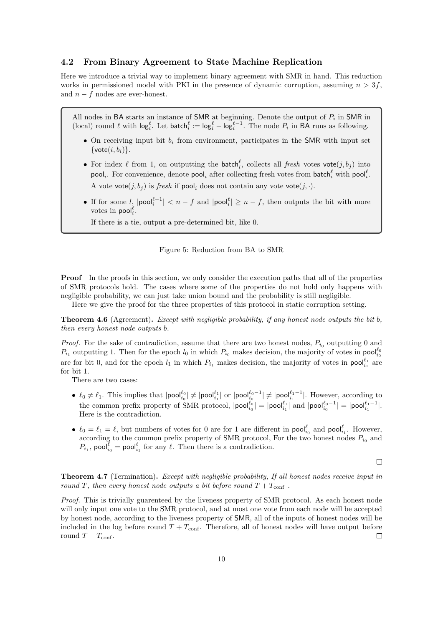#### 4.2 From Binary Agreement to State Machine Replication

Here we introduce a trivial way to implement binary agreement with SMR in hand. This reduction works in permissioned model with PKI in the presence of dynamic corruption, assuming  $n > 3f$ , and  $n - f$  nodes are ever-honest.

All nodes in BA starts an instance of SMR at beginning. Denote the output of  $P_i$  in SMR in (local) round  $\ell$  with  $\log_i^{\ell}$ . Let  $\mathsf{batch}_i^{\ell} := \log_i^{\ell} - \log_i^{\ell-1}$ . The node  $P_i$  in BA runs as following.

- On receiving input bit  $b_i$  from environment, participates in the SMR with input set  $\{\textsf{vote}(i, b_i)\}.$
- For index  $\ell$  from 1, on outputting the batch<sup> $\ell$ </sup>, collects all fresh votes vote $(j, b_j)$  into  $\mathsf{pool}_i$ . For convenience, denote  $\mathsf{pool}_i$  after collecting fresh votes from  $\mathsf{batch}_i^{\ell}$  with  $\mathsf{pool}_i^{\ell}$ . A vote vote $(j, b_i)$  is fresh if pool, does not contain any vote vote $(j, \cdot)$ .
- If for some  $l_i$   $|pool_i^{\ell-1}| < n f$  and  $|pool_i^{\ell}| \ge n f$ , then outputs the bit with more votes in  $\mathsf{pool}_i^{\ell}$ .

If there is a tie, output a pre-determined bit, like 0.

#### Figure 5: Reduction from BA to SMR

**Proof** In the proofs in this section, we only consider the execution paths that all of the properties of SMR protocols hold. The cases where some of the properties do not hold only happens with negligible probability, we can just take union bound and the probability is still negligible.

Here we give the proof for the three properties of this protocol in static corruption setting.

Theorem 4.6 (Agreement). Except with negligible probability, if any honest node outputs the bit b, then every honest node outputs b.

*Proof.* For the sake of contradiction, assume that there are two honest nodes,  $P_{i0}$  outputting 0 and  $P_{i_1}$  outputting 1. Then for the epoch  $l_0$  in which  $P_{i_0}$  makes decision, the majority of votes in pool $l_{i_0}^{\ell_0}$ are for bit 0, and for the epoch  $l_1$  in which  $P_{i_1}$  makes decision, the majority of votes in  $\text{pool}^{\ell_1}_{i_1}$  are for bit 1.

There are two cases:

- $\ell_0 \neq \ell_1$ . This implies that  $|\text{pool}^{\ell_0}_{i_0}| \neq |\text{pool}^{\ell_1}_{i_1}|$  or  $|\text{pool}^{\ell_0-1}_{i_0}| \neq |\text{pool}^{\ell_1-1}|$ . However, according to the common prefix property of SMR protocol,  $|\text{pool}_{i_0}^{\ell_0}| = |\text{pool}_{i_1}^{\ell_1}|$  and  $|\text{pool}_{i_0}^{\ell_0-1}| = |\text{pool}_{i_1}^{\ell_1-1}|$ . Here is the contradiction.
- $\ell_0 = \ell_1 = \ell$ , but numbers of votes for 0 are for 1 are different in  $\text{pool}^{\ell}_{i_0}$  and  $\text{pool}^{\ell}_{i_1}$ . However, according to the common prefix property of SMR protocol, For the two honest nodes  $P_{i_0}$  and  $P_{i_1}$ , pool<sub> $i_0$ </sub> = pool<sub>i<sub>1</sub></sub> for any  $\ell$ . Then there is a contradiction.

 $\Box$ 

Theorem 4.7 (Termination). Except with negligible probability, If all honest nodes receive input in round T, then every honest node outputs a bit before round  $T + T_{\text{conf}}$ .

Proof. This is trivially guarenteed by the liveness property of SMR protocol. As each honest node will only input one vote to the SMR protocol, and at most one vote from each node will be accepted by honest node, according to the liveness property of SMR, all of the inputs of honest nodes will be included in the log before round  $T + T_{\text{conf}}$ . Therefore, all of honest nodes will have output before round  $T + T_{\text{conf}}$ .  $\Box$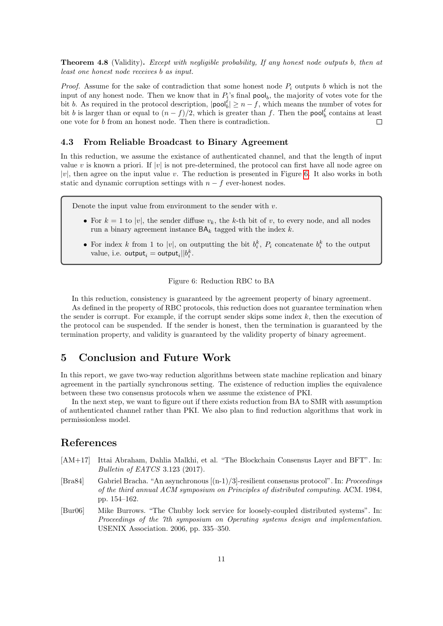Theorem 4.8 (Validity). Except with negligible probability, If any honest node outputs b, then at least one honest node receives b as input.

*Proof.* Assume for the sake of contradiction that some honest node  $P_i$  outputs b which is not the input of any honest node. Then we know that in  $P_i$ 's final pool<sub>b</sub>, the majority of votes vote for the bit b. As required in the protocol description,  $|\text{pool}_b^{\ell}| \ge n - f$ , which means the number of votes for bit b is larger than or equal to  $(n - f)/2$ , which is greater than f. Then the pool<sub>b</sub> contains at least one vote for b from an honest node. Then there is contradiction.  $\Box$ 

### <span id="page-10-3"></span>4.3 From Reliable Broadcast to Binary Agreement

In this reduction, we assume the existance of authenticated channel, and that the length of input value v is known a priori. If  $|v|$  is not pre-determined, the protocol can first have all node agree on  $|v|$ , then agree on the input value v. The reduction is presented in Figure [6.](#page-10-4) It also works in both static and dynamic corruption settings with  $n - f$  ever-honest nodes.

Denote the input value from environment to the sender with  $v$ .

- For  $k = 1$  to  $|v|$ , the sender diffuse  $v_k$ , the k-th bit of v, to every node, and all nodes run a binary agreement instance  $BA_k$  tagged with the index  $k$ .
- For index k from 1 to |v|, on outputting the bit  $b_i^k$ ,  $P_i$  concatenate  $b_i^k$  to the output value, i.e.  $\textsf{output}_i = \textsf{output}_i || b_i^k$ .

#### Figure 6: Reduction RBC to BA

<span id="page-10-4"></span>In this reduction, consistency is guaranteed by the agreement property of binary agreement. As defined in the property of RBC protocols, this reduction does not guarantee termination when the sender is corrupt. For example, if the corrupt sender skips some index  $k$ , then the execution of the protocol can be suspended. If the sender is honest, then the termination is guaranteed by the termination property, and validity is guaranteed by the validity property of binary agreement.

# 5 Conclusion and Future Work

In this report, we gave two-way reduction algorithms between state machine replication and binary agreement in the partially synchronous setting. The existence of reduction implies the equivalence between these two consensus protocols when we assume the existence of PKI.

In the next step, we want to figure out if there exists reduction from BA to SMR with assumption of authenticated channel rather than PKI. We also plan to find reduction algorithms that work in permissionless model.

# References

- <span id="page-10-2"></span>[AM+17] Ittai Abraham, Dahlia Malkhi, et al. "The Blockchain Consensus Layer and BFT". In: Bulletin of EATCS 3.123 (2017).
- <span id="page-10-0"></span>[Bra84] Gabriel Bracha. "An asynchronous [(n-1)/3]-resilient consensus protocol". In: Proceedings of the third annual ACM symposium on Principles of distributed computing. ACM. 1984, pp. 154–162.
- <span id="page-10-1"></span>[Bur06] Mike Burrows. "The Chubby lock service for loosely-coupled distributed systems". In: Proceedings of the 7th symposium on Operating systems design and implementation. USENIX Association. 2006, pp. 335–350.